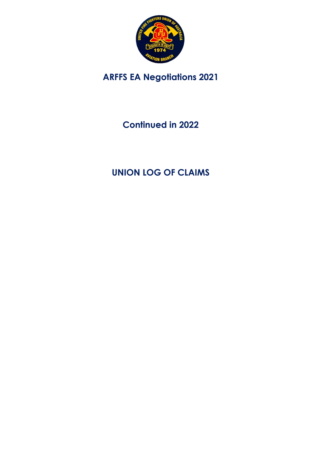

# **ARFFS EA Negotiations 2021**

# **Continued in 2022**

# **UNION LOG OF CLAIMS**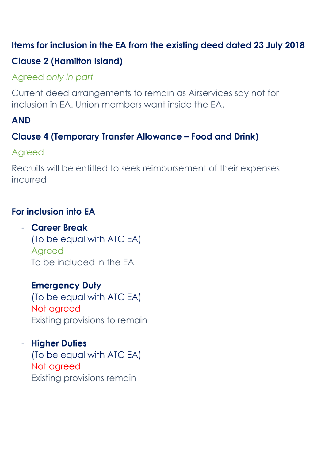## **Items for inclusion in the EA from the existing deed dated 23 July 2018**

# **Clause 2 (Hamilton Island)**

# Agreed *only in part*

Current deed arrangements to remain as Airservices say not for inclusion in EA. Union members want inside the EA.

# **AND**

## **Clause 4 (Temporary Transfer Allowance – Food and Drink)**

## Agreed

Recruits will be entitled to seek reimbursement of their expenses incurred

# **For inclusion into EA**

- **Career Break**  (To be equal with ATC EA) Agreed To be included in the EA
- **Emergency Duty** (To be equal with ATC EA) Not agreed Existing provisions to remain
- **Higher Duties** (To be equal with ATC EA) Not agreed Existing provisions remain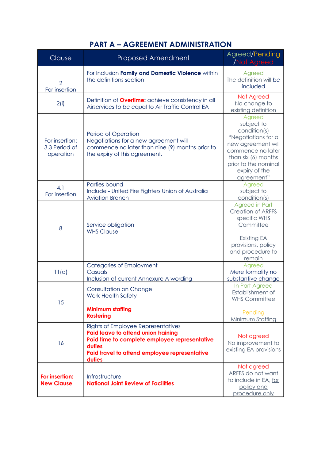### **PART A – AGREEMENT ADMINISTRATION**

| Clause                                       | <b>Proposed Amendment</b>                                                                                                                                                                       | Agreed/Pending<br><b>Not Agreed</b>                                                                                                                                                  |
|----------------------------------------------|-------------------------------------------------------------------------------------------------------------------------------------------------------------------------------------------------|--------------------------------------------------------------------------------------------------------------------------------------------------------------------------------------|
| $\overline{2}$<br>For insertion              | For Inclusion Family and Domestic Violence within<br>the definitions section                                                                                                                    | Agreed<br>The definition will be<br>included                                                                                                                                         |
| 2(i)                                         | Definition of <b>Overtime:</b> achieve consistency in all<br>Airservices to be equal to Air Traffic Control EA                                                                                  | Not Agreed<br>No change to<br>existing definition                                                                                                                                    |
| For insertion:<br>3.3 Period of<br>operation | Period of Operation<br>Negotiations for a new agreement will<br>commence no later than nine (9) months prior to<br>the expiry of this agreement.                                                | Agreed<br>subject to<br>condition(s)<br>"Negotiations for a<br>new agreement will<br>commence no later<br>than six (6) months<br>prior to the nominal<br>expiry of the<br>agreement" |
| 4.1<br>For insertion                         | Parties bound<br>Include - United Fire Fighters Union of Australia<br><b>Aviation Branch</b>                                                                                                    | Agreed<br>subject to<br>condition(s)                                                                                                                                                 |
| 8                                            | Service obligation<br><b>WHS Clause</b>                                                                                                                                                         | <b>Agreed in Part</b><br><b>Creation of ARFFS</b><br>specific WHS<br>Committee<br><b>Existing EA</b><br>provisions, policy<br>and procedure to<br>remain                             |
| 11(d)                                        | Categories of Employment<br>Casuals<br>Inclusion of current Annexure A wording                                                                                                                  | Agreed<br>Mere formality no<br>substantive change                                                                                                                                    |
| 15                                           | <b>Consultation on Change</b><br>Work Health Safety<br><b>Minimum staffing</b><br><b>Rostering</b>                                                                                              | In Part Agreed<br>Establishment of<br><b>WHS Committee</b><br>Pending<br>Minimum Staffing                                                                                            |
| 16                                           | Rights of Employee Representatives<br>Paid leave to attend union training<br>Paid time to complete employee representative<br>duties<br>Paid travel to attend employee representative<br>duties | Not agreed<br>No improvement to<br>existing EA provisions                                                                                                                            |
| For insertion:<br><b>New Clause</b>          | Infrastructure<br><b>National Joint Review of Facilities</b>                                                                                                                                    | Not agreed<br>ARFFS do not want<br>to include in EA, for<br>policy and<br>procedure only                                                                                             |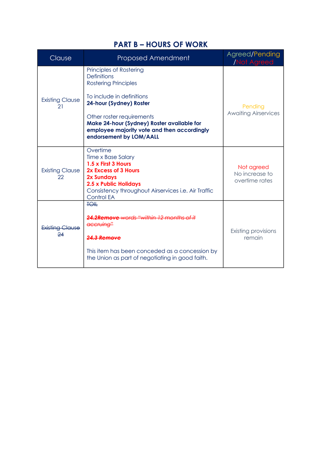#### **PART B – HOURS OF WORK**

| Clause                       | <b>Proposed Amendment</b>                                                                                                                                                                                                                                                                 | Agreed/Pending<br>/Not Agreed                  |
|------------------------------|-------------------------------------------------------------------------------------------------------------------------------------------------------------------------------------------------------------------------------------------------------------------------------------------|------------------------------------------------|
| <b>Existing Clause</b><br>21 | Principles of Rostering<br><b>Definitions</b><br><b>Rostering Principles</b><br>To include in definitions<br>24-hour (Sydney) Roster<br>Other roster requirements<br>Make 24-hour (Sydney) Roster available for<br>employee majority vote and then accordingly<br>endorsement by LOM/AALL | Pending<br><b>Awaiting Airservices</b>         |
| <b>Existing Clause</b><br>22 | Overtime<br><b>Time x Base Salary</b><br>1.5 x First 3 Hours<br>2x Excess of 3 Hours<br>2x Sundays<br>2.5 x Public Holidays<br>Consistency throughout Airservices i.e. Air Traffic<br><b>Control EA</b>                                                                                   | Not agreed<br>No increase to<br>overtime rates |
| Existing Clause<br>24        | <b>TOIL</b><br>24.2Remove words "within 12 months of it<br>accruing"<br>24.3 Remove<br>This item has been conceded as a concession by<br>the Union as part of negotiating in good faith.                                                                                                  | Existing provisions<br>remain                  |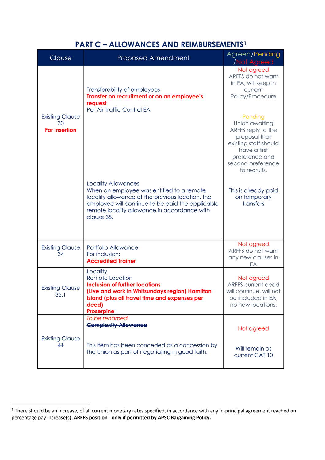#### **PART C – ALLOWANCES AND REIMBURSEMENTS1**

| Clause                                               | <b>Proposed Amendment</b>                                                                                                                                                                                                                     | Agreed/Pending<br><b>Not Agreed</b>                                                                                                                              |
|------------------------------------------------------|-----------------------------------------------------------------------------------------------------------------------------------------------------------------------------------------------------------------------------------------------|------------------------------------------------------------------------------------------------------------------------------------------------------------------|
|                                                      | Transferability of employees<br>Transfer on recruitment or on an employee's<br>request                                                                                                                                                        | Not agreed<br>ARFFS do not want<br>in EA, will keep in<br>current<br>Policy/Procedure                                                                            |
| <b>Existing Clause</b><br>30<br><b>For insertion</b> | Per Air Traffic Control EA                                                                                                                                                                                                                    | Pending<br>Union awaiting<br>ARFFS reply to the<br>proposal that<br>existing staff should<br>have a first<br>preference and<br>second preference<br>to recruits. |
|                                                      | <b>Locality Allowances</b><br>When an employee was entitled to a remote<br>locality allowance at the previous location, the<br>employee will continue to be paid the applicable<br>remote locality allowance in accordance with<br>clause 35. | This is already paid<br>on temporary<br>transfers                                                                                                                |
| <b>Existing Clause</b><br>34                         | Portfolio Allowance<br>For inclusion:<br><b>Accredited Trainer</b>                                                                                                                                                                            | Not agreed<br>ARFFS do not want<br>any new clauses in<br>EA                                                                                                      |
| <b>Existing Clause</b><br>35.1                       | Locality<br><b>Remote Location</b><br><b>Inclusion of further locations</b><br>(Live and work in Whitsundays region) Hamilton<br>Island (plus all travel time and expenses per<br>deed)<br><b>Proserpine</b>                                  | Not agreed<br><b>ARFFS current deed</b><br>will continue, will not<br>be included in EA,<br>no new locations.                                                    |
|                                                      | To be renamed<br><b>Complexity Allowance</b>                                                                                                                                                                                                  | Not agreed                                                                                                                                                       |
| <b>Existing Clause</b><br>4 <sup>1</sup>             | This item has been conceded as a concession by<br>the Union as part of negotiating in good faith.                                                                                                                                             | Will remain as<br>current CAT 10                                                                                                                                 |

 $1$  There should be an increase, of all current monetary rates specified, in accordance with any in-principal agreement reached on percentage pay increase(s). **ARFFS position - only if permitted by APSC Bargaining Policy.**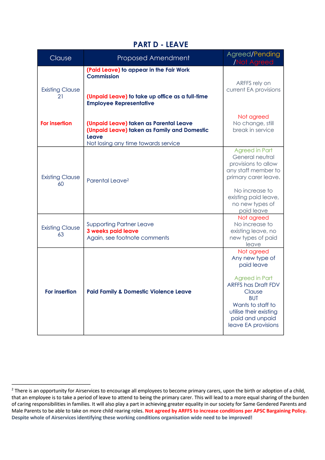#### **PART D - LEAVE**

| Clause                       | Proposed Amendment                                                                             | Agreed/Pending<br><b>Not Agreed</b>                                                                                                                                                                                 |
|------------------------------|------------------------------------------------------------------------------------------------|---------------------------------------------------------------------------------------------------------------------------------------------------------------------------------------------------------------------|
| <b>Existing Clause</b><br>21 | (Paid Leave) to appear in the Fair Work<br><b>Commission</b>                                   | ARFFS rely on<br>current EA provisions                                                                                                                                                                              |
|                              | (Unpaid Leave) to take up office as a full-time<br><b>Employee Representative</b>              |                                                                                                                                                                                                                     |
| <b>For insertion</b>         | (Unpaid Leave) taken as Parental Leave<br>(Unpaid Leave) taken as Family and Domestic<br>Leave | Not agreed<br>No change, still<br>break in service                                                                                                                                                                  |
| <b>Existing Clause</b><br>60 | Not losing any time towards service<br>Parental Leave <sup>2</sup>                             | Agreed in Part<br>General neutral<br>provisions to allow<br>any staff member to<br>primary carer leave.                                                                                                             |
|                              |                                                                                                | No increase to<br>existing paid leave,<br>no new types of<br>paid leave                                                                                                                                             |
| <b>Existing Clause</b><br>63 | <b>Supporting Partner Leave</b><br>3 weeks paid leave<br>Again, see footnote comments          | Not agreed<br>No increase to<br>existing leave, no<br>new types of paid<br>leave                                                                                                                                    |
| For insertion                | <b>Paid Family &amp; Domestic Violence Leave</b>                                               | Not agreed<br>Any new type of<br>paid leave<br><b>Agreed in Part</b><br><b>ARFFS has Draft FDV</b><br>Clause<br><b>BUT</b><br>Wants to staff to<br>utilise their existing<br>paid and unpaid<br>leave EA provisions |

<sup>&</sup>lt;sup>2</sup> There is an opportunity for Airservices to encourage all employees to become primary carers, upon the birth or adoption of a child, that an employee is to take a period of leave to attend to being the primary carer. This will lead to a more equal sharing of the burden of caring responsibilities in families. It will also play a part in achieving greater equality in our society for Same Gendered Parents and Male Parents to be able to take on more child rearing roles. **Not agreed by ARFFS to increase conditions per APSC Bargaining Policy. Despite whole of Airservices identifying these working conditions organisation wide need to be improved!**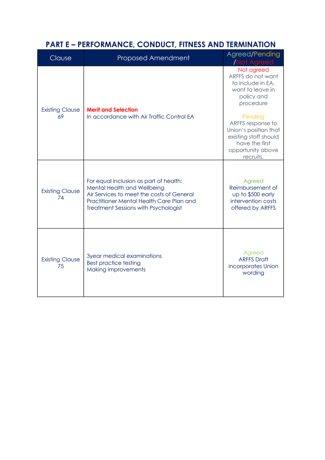### **PART E – PERFORMANCE, CONDUCT, FITNESS AND TERMINATION**

| Clause                       | <b>Proposed Amendment</b>                                                                                                                                                                                     | Agreed/Pending<br><b>Not Agreed</b>                                                                                                |
|------------------------------|---------------------------------------------------------------------------------------------------------------------------------------------------------------------------------------------------------------|------------------------------------------------------------------------------------------------------------------------------------|
| <b>Existing Clause</b><br>69 | <b>Merit and Selection</b><br>In accordance with Air Traffic Control EA                                                                                                                                       | Not agreed<br>ARFFS do not want<br>to include in EA,<br>want to leave in<br>policy and<br>procedure                                |
|                              |                                                                                                                                                                                                               | Pending<br>ARFFS response to<br>Union's position that<br>existing staff should<br>have the first<br>opportunity above<br>recruits. |
| <b>Existing Clause</b><br>74 | For equal inclusion as part of health:<br>Mental Health and Wellbeing<br>Air Services to meet the costs of General<br>Practitioner Mental Health Care Plan and<br><b>Treatment Sessions with Psychologist</b> | Agreed<br>Reimbursement of<br>up to \$500 early<br>intervention costs<br>offered by ARFFS                                          |
| <b>Existing Clause</b><br>75 | 3year medical examinations<br><b>Best practice testing</b><br><b>Making improvements</b>                                                                                                                      | Agreed<br><b>ARFFS Draft</b><br>incorporates Union<br>wording                                                                      |